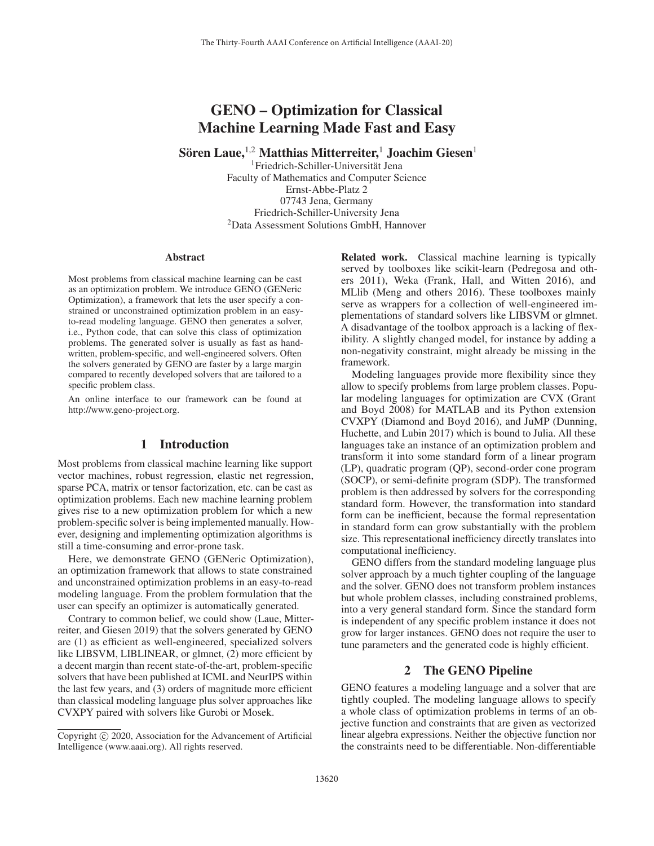# GENO – Optimization for Classical Machine Learning Made Fast and Easy

Sören Laue, <sup>1,2</sup> Matthias Mitterreiter,<sup>1</sup> Joachim Giesen<sup>1</sup>

<sup>1</sup>Friedrich-Schiller-Universität Jena Faculty of Mathematics and Computer Science Ernst-Abbe-Platz 2 07743 Jena, Germany Friedrich-Schiller-University Jena 2Data Assessment Solutions GmbH, Hannover

#### Abstract

Most problems from classical machine learning can be cast as an optimization problem. We introduce GENO (GENeric Optimization), a framework that lets the user specify a constrained or unconstrained optimization problem in an easyto-read modeling language. GENO then generates a solver, i.e., Python code, that can solve this class of optimization problems. The generated solver is usually as fast as handwritten, problem-specific, and well-engineered solvers. Often the solvers generated by GENO are faster by a large margin compared to recently developed solvers that are tailored to a specific problem class.

An online interface to our framework can be found at http://www.geno-project.org.

# 1 Introduction

Most problems from classical machine learning like support vector machines, robust regression, elastic net regression, sparse PCA, matrix or tensor factorization, etc. can be cast as optimization problems. Each new machine learning problem gives rise to a new optimization problem for which a new problem-specific solver is being implemented manually. However, designing and implementing optimization algorithms is still a time-consuming and error-prone task.

Here, we demonstrate GENO (GENeric Optimization), an optimization framework that allows to state constrained and unconstrained optimization problems in an easy-to-read modeling language. From the problem formulation that the user can specify an optimizer is automatically generated.

Contrary to common belief, we could show (Laue, Mitterreiter, and Giesen 2019) that the solvers generated by GENO are (1) as efficient as well-engineered, specialized solvers like LIBSVM, LIBLINEAR, or glmnet, (2) more efficient by a decent margin than recent state-of-the-art, problem-specific solvers that have been published at ICML and NeurIPS within the last few years, and (3) orders of magnitude more efficient than classical modeling language plus solver approaches like CVXPY paired with solvers like Gurobi or Mosek.

Related work. Classical machine learning is typically served by toolboxes like scikit-learn (Pedregosa and others 2011), Weka (Frank, Hall, and Witten 2016), and MLlib (Meng and others 2016). These toolboxes mainly serve as wrappers for a collection of well-engineered implementations of standard solvers like LIBSVM or glmnet. A disadvantage of the toolbox approach is a lacking of flexibility. A slightly changed model, for instance by adding a non-negativity constraint, might already be missing in the framework.

Modeling languages provide more flexibility since they allow to specify problems from large problem classes. Popular modeling languages for optimization are CVX (Grant and Boyd 2008) for MATLAB and its Python extension CVXPY (Diamond and Boyd 2016), and JuMP (Dunning, Huchette, and Lubin 2017) which is bound to Julia. All these languages take an instance of an optimization problem and transform it into some standard form of a linear program (LP), quadratic program (QP), second-order cone program (SOCP), or semi-definite program (SDP). The transformed problem is then addressed by solvers for the corresponding standard form. However, the transformation into standard form can be inefficient, because the formal representation in standard form can grow substantially with the problem size. This representational inefficiency directly translates into computational inefficiency.

GENO differs from the standard modeling language plus solver approach by a much tighter coupling of the language and the solver. GENO does not transform problem instances but whole problem classes, including constrained problems, into a very general standard form. Since the standard form is independent of any specific problem instance it does not grow for larger instances. GENO does not require the user to tune parameters and the generated code is highly efficient.

# 2 The GENO Pipeline

GENO features a modeling language and a solver that are tightly coupled. The modeling language allows to specify a whole class of optimization problems in terms of an objective function and constraints that are given as vectorized linear algebra expressions. Neither the objective function nor the constraints need to be differentiable. Non-differentiable

Copyright  $\odot$  2020, Association for the Advancement of Artificial Intelligence (www.aaai.org). All rights reserved.